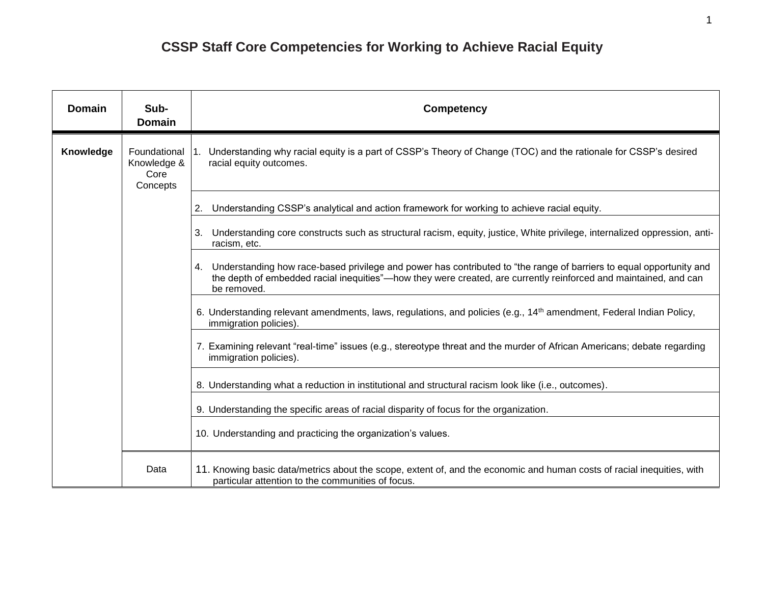## **CSSP Staff Core Competencies for Working to Achieve Racial Equity**

| <b>Domain</b> | Sub-<br><b>Domain</b>                           | <b>Competency</b>                                                                                                                                                                                                                                            |
|---------------|-------------------------------------------------|--------------------------------------------------------------------------------------------------------------------------------------------------------------------------------------------------------------------------------------------------------------|
| Knowledge     | Foundational<br>Knowledge &<br>Core<br>Concepts | Understanding why racial equity is a part of CSSP's Theory of Change (TOC) and the rationale for CSSP's desired<br>1.<br>racial equity outcomes.                                                                                                             |
|               |                                                 | Understanding CSSP's analytical and action framework for working to achieve racial equity.<br>2.                                                                                                                                                             |
|               |                                                 | Understanding core constructs such as structural racism, equity, justice, White privilege, internalized oppression, anti-<br>3.<br>racism, etc.                                                                                                              |
|               |                                                 | Understanding how race-based privilege and power has contributed to "the range of barriers to equal opportunity and<br>4.<br>the depth of embedded racial inequities"—how they were created, are currently reinforced and maintained, and can<br>be removed. |
|               |                                                 | 6. Understanding relevant amendments, laws, regulations, and policies (e.g., 14 <sup>th</sup> amendment, Federal Indian Policy,<br>immigration policies).                                                                                                    |
|               |                                                 | 7. Examining relevant "real-time" issues (e.g., stereotype threat and the murder of African Americans; debate regarding<br>immigration policies).                                                                                                            |
|               |                                                 | 8. Understanding what a reduction in institutional and structural racism look like (i.e., outcomes).                                                                                                                                                         |
|               |                                                 | 9. Understanding the specific areas of racial disparity of focus for the organization.                                                                                                                                                                       |
|               |                                                 | 10. Understanding and practicing the organization's values.                                                                                                                                                                                                  |
|               | Data                                            | 11. Knowing basic data/metrics about the scope, extent of, and the economic and human costs of racial inequities, with<br>particular attention to the communities of focus.                                                                                  |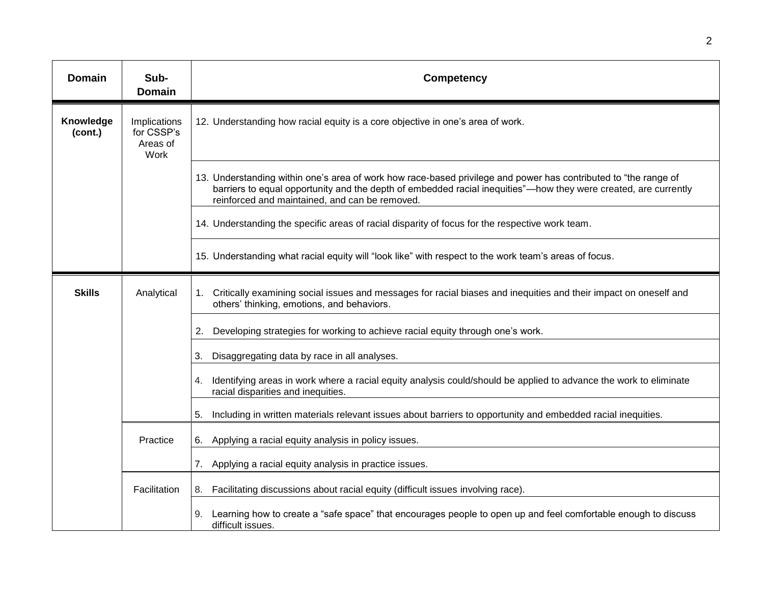| <b>Domain</b>        | Sub-<br><b>Domain</b>                          | <b>Competency</b>                                                                                                                                                                                                                                                                    |
|----------------------|------------------------------------------------|--------------------------------------------------------------------------------------------------------------------------------------------------------------------------------------------------------------------------------------------------------------------------------------|
| Knowledge<br>(cont.) | Implications<br>for CSSP's<br>Areas of<br>Work | 12. Understanding how racial equity is a core objective in one's area of work.                                                                                                                                                                                                       |
|                      |                                                | 13. Understanding within one's area of work how race-based privilege and power has contributed to "the range of<br>barriers to equal opportunity and the depth of embedded racial inequities"—how they were created, are currently<br>reinforced and maintained, and can be removed. |
|                      |                                                | 14. Understanding the specific areas of racial disparity of focus for the respective work team.                                                                                                                                                                                      |
|                      |                                                | 15. Understanding what racial equity will "look like" with respect to the work team's areas of focus.                                                                                                                                                                                |
| <b>Skills</b>        | Analytical                                     | 1. Critically examining social issues and messages for racial biases and inequities and their impact on oneself and<br>others' thinking, emotions, and behaviors.                                                                                                                    |
|                      |                                                | Developing strategies for working to achieve racial equity through one's work.<br>2.                                                                                                                                                                                                 |
|                      |                                                | Disaggregating data by race in all analyses.<br>3.                                                                                                                                                                                                                                   |
|                      |                                                | Identifying areas in work where a racial equity analysis could/should be applied to advance the work to eliminate<br>4.<br>racial disparities and inequities.                                                                                                                        |
|                      |                                                | Including in written materials relevant issues about barriers to opportunity and embedded racial inequities.<br>5.                                                                                                                                                                   |
|                      | Practice                                       | 6. Applying a racial equity analysis in policy issues.                                                                                                                                                                                                                               |
|                      |                                                | 7.<br>Applying a racial equity analysis in practice issues.                                                                                                                                                                                                                          |
|                      | Facilitation                                   | Facilitating discussions about racial equity (difficult issues involving race).<br>8.                                                                                                                                                                                                |
|                      |                                                | Learning how to create a "safe space" that encourages people to open up and feel comfortable enough to discuss<br>difficult issues.                                                                                                                                                  |